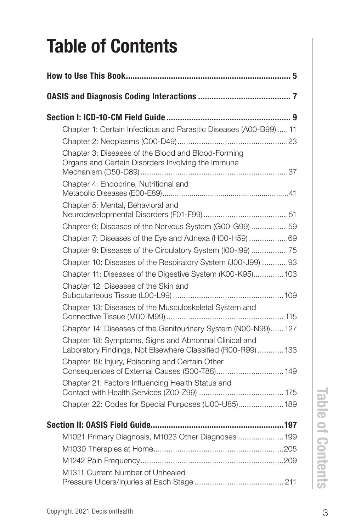## Table of Contents

| Chapter 1: Certain Infectious and Parasitic Diseases (A00-B99) 11                                                    |
|----------------------------------------------------------------------------------------------------------------------|
|                                                                                                                      |
| Chapter 3: Diseases of the Blood and Blood-Forming<br>Organs and Certain Disorders Involving the Immune              |
| Chapter 4: Endocrine, Nutritional and                                                                                |
| Chapter 5: Mental, Behavioral and                                                                                    |
|                                                                                                                      |
| Chapter 6: Diseases of the Nervous System (G00-G99)59                                                                |
| Chapter 7: Diseases of the Eye and Adnexa (H00-H59)69                                                                |
| Chapter 9: Diseases of the Circulatory System (I00-I99) 75                                                           |
| Chapter 10: Diseases of the Respiratory System (J00-J99) 93                                                          |
| Chapter 11: Diseases of the Digestive System (K00-K95) 103                                                           |
| Chapter 12: Diseases of the Skin and                                                                                 |
| Chapter 13: Diseases of the Musculoskeletal System and                                                               |
| Chapter 14: Diseases of the Genitourinary System (N00-N99) 127                                                       |
| Chapter 18: Symptoms, Signs and Abnormal Clinical and<br>Laboratory Findings, Not Elsewhere Classified (R00-R99) 133 |
| Chapter 19: Injury, Poisoning and Certain Other<br>Consequences of External Causes (S00-T88) 149                     |
| Chapter 21: Factors Influencing Health Status and                                                                    |
| Chapter 22: Codes for Special Purposes (U00-U85) 189                                                                 |
|                                                                                                                      |
| M1021 Primary Diagnosis, M1023 Other Diagnoses  199                                                                  |
|                                                                                                                      |
|                                                                                                                      |
| M1311 Current Number of Unhealed                                                                                     |